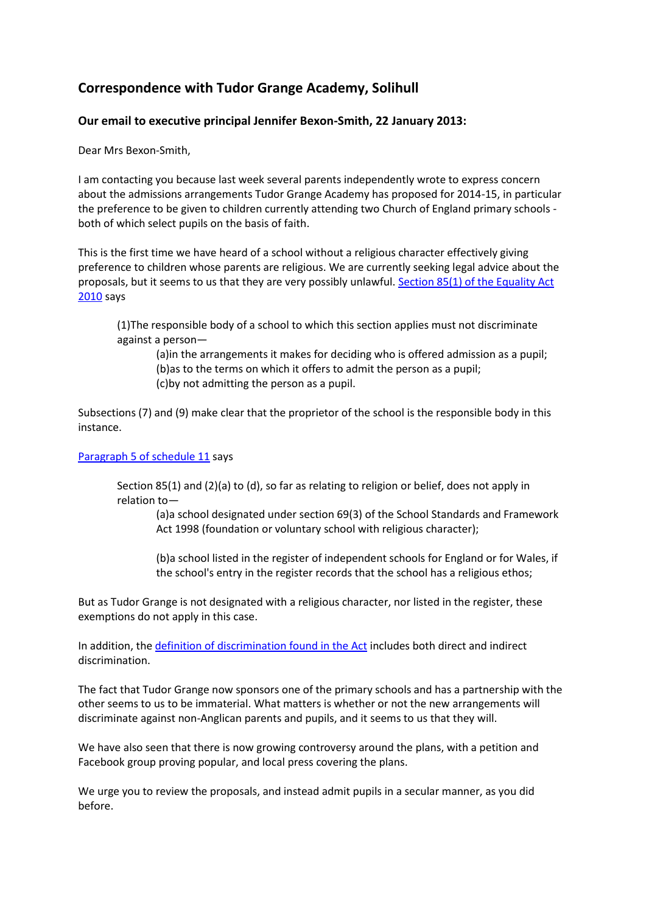# **Correspondence with Tudor Grange Academy, Solihull**

## **Our email to executive principal Jennifer Bexon-Smith, 22 January 2013:**

Dear Mrs Bexon-Smith,

I am contacting you because last week several parents independently wrote to express concern about the admissions arrangements Tudor Grange Academy has proposed for 2014-15, in particular the preference to be given to children currently attending two Church of England primary schools both of which select pupils on the basis of faith.

This is the first time we have heard of a school without a religious character effectively giving preference to children whose parents are religious. We are currently seeking legal advice about the proposals, but it seems to us that they are very possibly unlawful. [Section 85\(1\) of the Equality Act](http://www.legislation.gov.uk/ukpga/2010/15/section/85)  [2010](http://www.legislation.gov.uk/ukpga/2010/15/section/85) says

(1)The responsible body of a school to which this section applies must not discriminate against a person—

(a)in the arrangements it makes for deciding who is offered admission as a pupil; (b)as to the terms on which it offers to admit the person as a pupil; (c)by not admitting the person as a pupil.

Subsections (7) and (9) make clear that the proprietor of the school is the responsible body in this instance.

#### [Paragraph 5 of schedule 11](http://www.legislation.gov.uk/ukpga/2010/15/schedule/11/paragraph/5) says

Section 85(1) and (2)(a) to (d), so far as relating to religion or belief, does not apply in relation to—

(a)a school designated under section 69(3) of the School Standards and Framework Act 1998 (foundation or voluntary school with religious character);

(b)a school listed in the register of independent schools for England or for Wales, if the school's entry in the register records that the school has a religious ethos;

But as Tudor Grange is not designated with a religious character, nor listed in the register, these exemptions do not apply in this case.

In addition, the [definition of discrimination found in the Act](http://www.legislation.gov.uk/ukpga/2010/15/part/2/chapter/2/crossheading/discrimination) includes both direct and indirect discrimination.

The fact that Tudor Grange now sponsors one of the primary schools and has a partnership with the other seems to us to be immaterial. What matters is whether or not the new arrangements will discriminate against non-Anglican parents and pupils, and it seems to us that they will.

We have also seen that there is now growing controversy around the plans, with a petition and Facebook group proving popular, and local press covering the plans.

We urge you to review the proposals, and instead admit pupils in a secular manner, as you did before.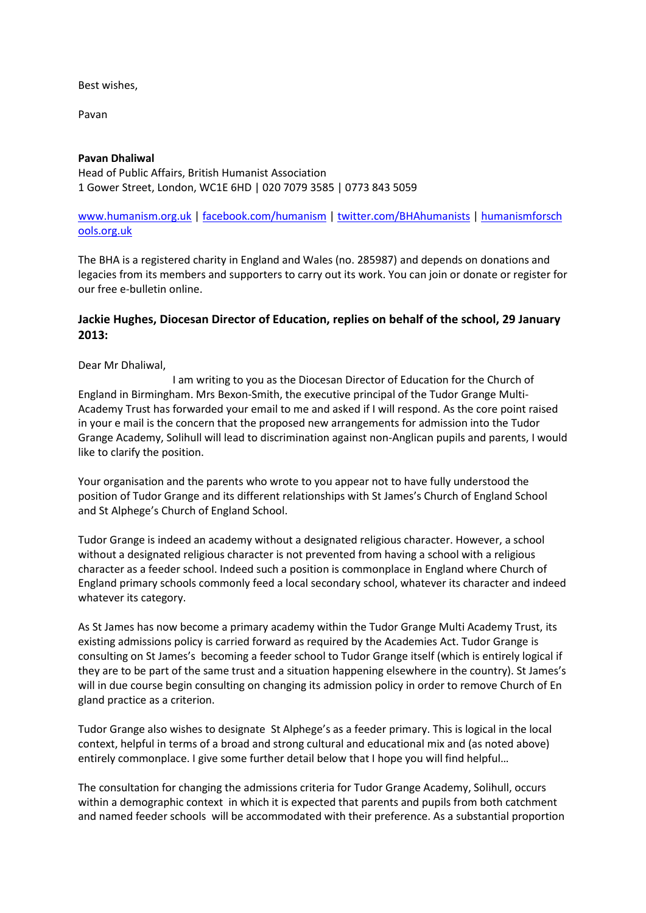Best wishes,

Pavan

## **Pavan Dhaliwal**

Head of Public Affairs, British Humanist Association 1 Gower Street, London, WC1E 6HD | 020 7079 3585 | 0773 843 5059

## [www.humanism.org.uk](http://www.humanism.org.uk/) | [facebook.com/humanism](http://facebook.com/humanism) | [twitter.com/BHAhumanists](http://twitter.com/BHAhumanists) | [humanismforsch](http://humanismforschools.org.uk/) [ools.org.uk](http://humanismforschools.org.uk/)

The BHA is a registered charity in England and Wales (no. 285987) and depends on donations and legacies from its members and supporters to carry out its work. You can join or donate or register for our free e-bulletin online.

## **Jackie Hughes, Diocesan Director of Education, replies on behalf of the school, 29 January 2013:**

Dear Mr Dhaliwal,

 I am writing to you as the Diocesan Director of Education for the Church of England in Birmingham. Mrs Bexon-Smith, the executive principal of the Tudor Grange Multi-Academy Trust has forwarded your email to me and asked if I will respond. As the core point raised in your e mail is the concern that the proposed new arrangements for admission into the Tudor Grange Academy, Solihull will lead to discrimination against non-Anglican pupils and parents, I would like to clarify the position.

Your organisation and the parents who wrote to you appear not to have fully understood the position of Tudor Grange and its different relationships with St James's Church of England School and St Alphege's Church of England School.

Tudor Grange is indeed an academy without a designated religious character. However, a school without a designated religious character is not prevented from having a school with a religious character as a feeder school. Indeed such a position is commonplace in England where Church of England primary schools commonly feed a local secondary school, whatever its character and indeed whatever its category.

As St James has now become a primary academy within the Tudor Grange Multi Academy Trust, its existing admissions policy is carried forward as required by the Academies Act. Tudor Grange is consulting on St James's becoming a feeder school to Tudor Grange itself (which is entirely logical if they are to be part of the same trust and a situation happening elsewhere in the country). St James's will in due course begin consulting on changing its admission policy in order to remove Church of En gland practice as a criterion.

Tudor Grange also wishes to designate St Alphege's as a feeder primary. This is logical in the local context, helpful in terms of a broad and strong cultural and educational mix and (as noted above) entirely commonplace. I give some further detail below that I hope you will find helpful…

The consultation for changing the admissions criteria for Tudor Grange Academy, Solihull, occurs within a demographic context in which it is expected that parents and pupils from both catchment and named feeder schools will be accommodated with their preference. As a substantial proportion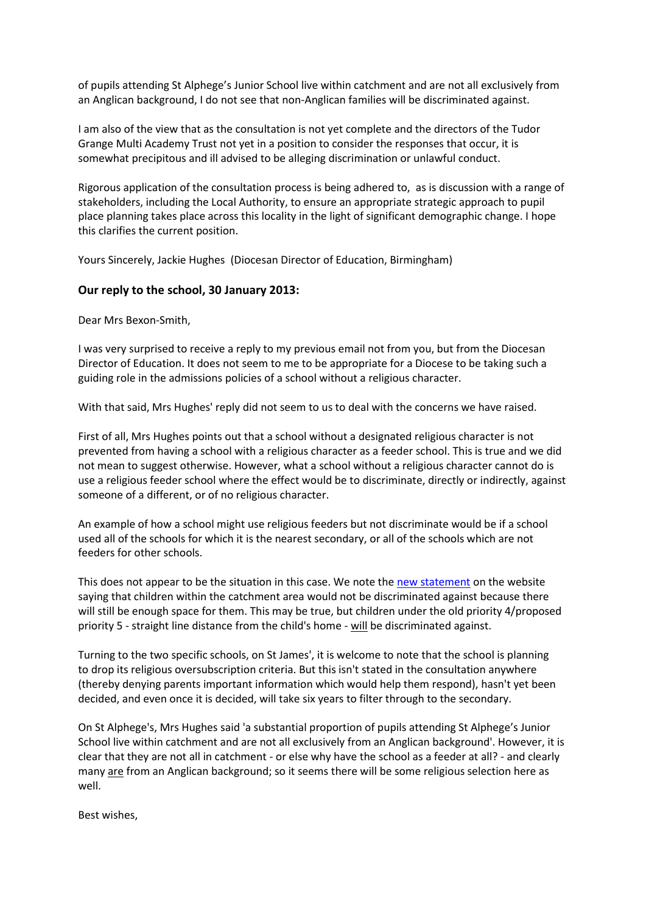of pupils attending St Alphege's Junior School live within catchment and are not all exclusively from an Anglican background, I do not see that non-Anglican families will be discriminated against.

I am also of the view that as the consultation is not yet complete and the directors of the Tudor Grange Multi Academy Trust not yet in a position to consider the responses that occur, it is somewhat precipitous and ill advised to be alleging discrimination or unlawful conduct.

Rigorous application of the consultation process is being adhered to, as is discussion with a range of stakeholders, including the Local Authority, to ensure an appropriate strategic approach to pupil place planning takes place across this locality in the light of significant demographic change. I hope this clarifies the current position.

Yours Sincerely, Jackie Hughes (Diocesan Director of Education, Birmingham)

#### **Our reply to the school, 30 January 2013:**

Dear Mrs Bexon-Smith,

I was very surprised to receive a reply to my previous email not from you, but from the Diocesan Director of Education. It does not seem to me to be appropriate for a Diocese to be taking such a guiding role in the admissions policies of a school without a religious character.

With that said, Mrs Hughes' reply did not seem to us to deal with the concerns we have raised.

First of all, Mrs Hughes points out that a school without a designated religious character is not prevented from having a school with a religious character as a feeder school. This is true and we did not mean to suggest otherwise. However, what a school without a religious character cannot do is use a religious feeder school where the effect would be to discriminate, directly or indirectly, against someone of a different, or of no religious character.

An example of how a school might use religious feeders but not discriminate would be if a school used all of the schools for which it is the nearest secondary, or all of the schools which are not feeders for other schools.

This does not appear to be the situation in this case. We note the [new statement](http://www.tudor-grange.solihull.sch.uk/index.php?option=com_content&view=article&id=363:admissions-consultation&catid=3:head-lines&Itemid=2) on the website saying that children within the catchment area would not be discriminated against because there will still be enough space for them. This may be true, but children under the old priority 4/proposed priority 5 - straight line distance from the child's home - will be discriminated against.

Turning to the two specific schools, on St James', it is welcome to note that the school is planning to drop its religious oversubscription criteria. But this isn't stated in the consultation anywhere (thereby denying parents important information which would help them respond), hasn't yet been decided, and even once it is decided, will take six years to filter through to the secondary.

On St Alphege's, Mrs Hughes said 'a substantial proportion of pupils attending St Alphege's Junior School live within catchment and are not all exclusively from an Anglican background'. However, it is clear that they are not all in catchment - or else why have the school as a feeder at all? - and clearly many are from an Anglican background; so it seems there will be some religious selection here as well.

Best wishes,